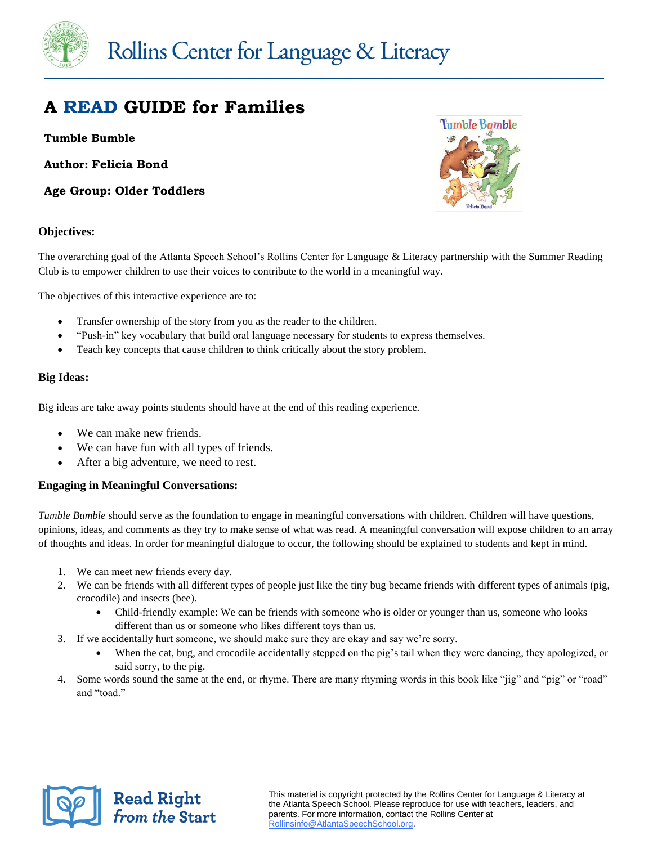

# **A READ GUIDE for Families**

# **Tumble Bumble**

**Author: Felicia Bond**

**Age Group: Older Toddlers**

# **Tumble Bumble**

# **Objectives:**

The overarching goal of the Atlanta Speech School's Rollins Center for Language & Literacy partnership with the Summer Reading Club is to empower children to use their voices to contribute to the world in a meaningful way.

The objectives of this interactive experience are to:

- Transfer ownership of the story from you as the reader to the children.
- "Push-in" key vocabulary that build oral language necessary for students to express themselves.
- Teach key concepts that cause children to think critically about the story problem.

# **Big Ideas:**

Big ideas are take away points students should have at the end of this reading experience.

- We can make new friends.
- We can have fun with all types of friends.
- After a big adventure, we need to rest.

# **Engaging in Meaningful Conversations:**

*Tumble Bumble* should serve as the foundation to engage in meaningful conversations with children. Children will have questions, opinions, ideas, and comments as they try to make sense of what was read. A meaningful conversation will expose children to an array of thoughts and ideas. In order for meaningful dialogue to occur, the following should be explained to students and kept in mind.

1. We can meet new friends every day.

**Read Right<br>from the Start** 

- 2. We can be friends with all different types of people just like the tiny bug became friends with different types of animals (pig, crocodile) and insects (bee).
	- Child-friendly example: We can be friends with someone who is older or younger than us, someone who looks different than us or someone who likes different toys than us.
- 3. If we accidentally hurt someone, we should make sure they are okay and say we're sorry.
	- When the cat, bug, and crocodile accidentally stepped on the pig's tail when they were dancing, they apologized, or said sorry, to the pig.
- 4. Some words sound the same at the end, or rhyme. There are many rhyming words in this book like "jig" and "pig" or "road" and "toad."

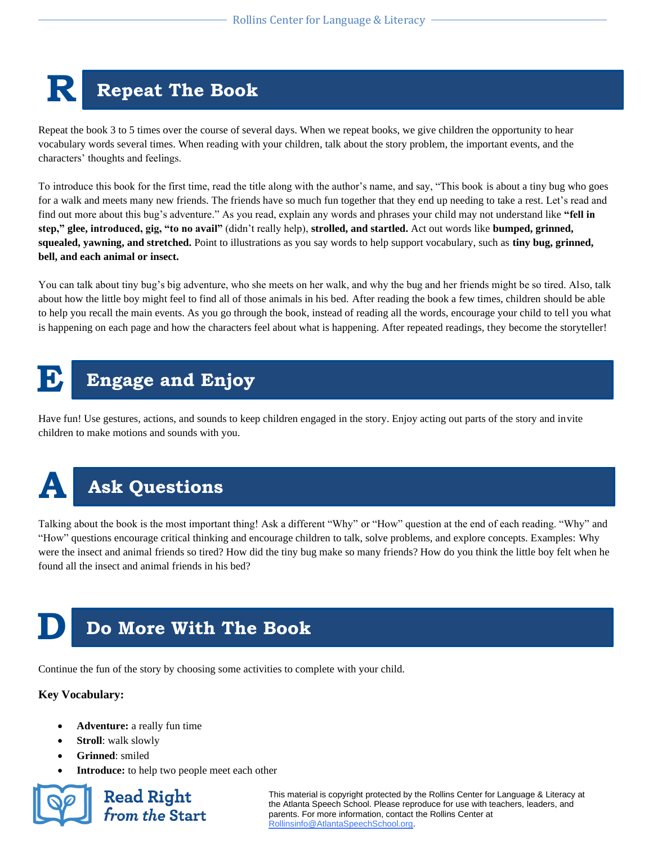# **R Repeat The Book**

Repeat the book 3 to 5 times over the course of several days. When we repeat books, we give children the opportunity to hear vocabulary words several times. When reading with your children, talk about the story problem, the important events, and the characters' thoughts and feelings.

To introduce this book for the first time, read the title along with the author's name, and say, "This book is about a tiny bug who goes for a walk and meets many new friends. The friends have so much fun together that they end up needing to take a rest. Let's read and find out more about this bug's adventure." As you read, explain any words and phrases your child may not understand like **"fell in step," glee, introduced, gig, "to no avail"** (didn't really help), **strolled, and startled.** Act out words like **bumped, grinned, squealed, yawning, and stretched.** Point to illustrations as you say words to help support vocabulary, such as **tiny bug, grinned, bell, and each animal or insect.**

You can talk about tiny bug's big adventure, who she meets on her walk, and why the bug and her friends might be so tired. Also, talk about how the little boy might feel to find all of those animals in his bed. After reading the book a few times, children should be able to help you recall the main events. As you go through the book, instead of reading all the words, encourage your child to tell you what is happening on each page and how the characters feel about what is happening. After repeated readings, they become the storyteller!

# **E** Engage and Enjoy

Have fun! Use gestures, actions, and sounds to keep children engaged in the story. Enjoy acting out parts of the story and invite children to make motions and sounds with you.



# **A Ask Questions**

Talking about the book is the most important thing! Ask a different "Why" or "How" question at the end of each reading. "Why" and "How" questions encourage critical thinking and encourage children to talk, solve problems, and explore concepts. Examples: Why were the insect and animal friends so tired? How did the tiny bug make so many friends? How do you think the little boy felt when he found all the insect and animal friends in his bed?

# **Do More With The Book**

Continue the fun of the story by choosing some activities to complete with your child.

# **Key Vocabulary:**

- **Adventure:** a really fun time
- **Stroll**: walk slowly
- **Grinned**: smiled
- **Introduce:** to help two people meet each other

**Read Right** from the Start

This material is copyright protected by the Rollins Center for Language & Literacy at the Atlanta Speech School. Please reproduce for use with teachers, leaders, and parents. For more information, contact the Rollins Center at [Rollinsinfo@AtlantaSpeechSchool.org.](mailto:Rollinsinfo@AtlantaSpeechSchool.org)